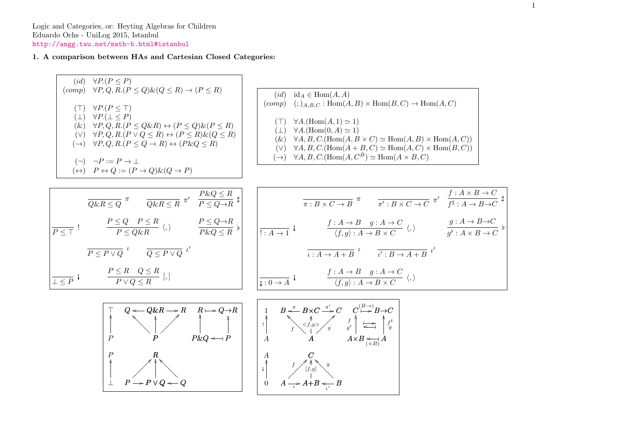Logic and Categories, or: Heyting Algebras for Children Eduardo Ochs - UniLog 2015, Istanbul <http://angg.twu.net/math-b.html#istanbul>

## 1. A comparison between HAs and Cartesian Closed Categories: